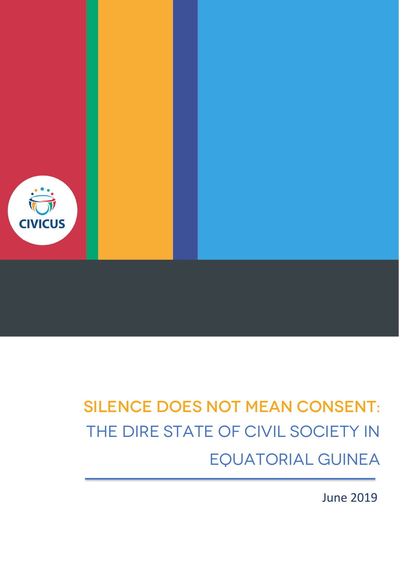

# Silence does not mean consent: THE DIRE STATE OF CIVIL SOCIETY IN Equatorial Guinea

June 2019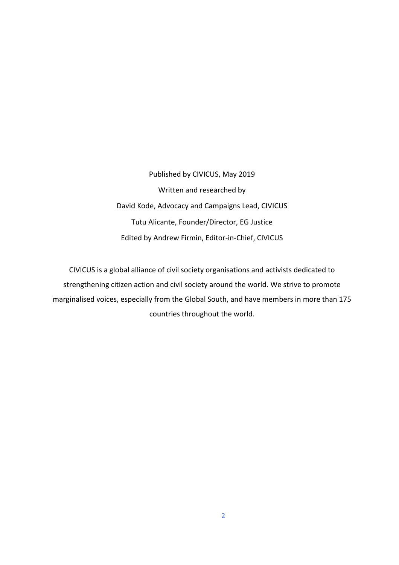Published by CIVICUS, May 2019 Written and researched by David Kode, Advocacy and Campaigns Lead, CIVICUS Tutu Alicante, Founder/Director, EG Justice Edited by Andrew Firmin, Editor-in-Chief, CIVICUS

CIVICUS is a global alliance of civil society organisations and activists dedicated to strengthening citizen action and civil society around the world. We strive to promote marginalised voices, especially from the Global South, and have members in more than 175 countries throughout the world.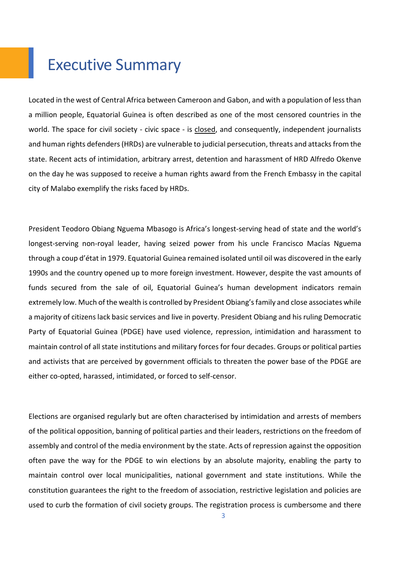## Executive Summary

Located in the west of Central Africa between Cameroon and Gabon, and with a population of less than a million people, Equatorial Guinea is often described as one of the most censored countries in the world. The space for civil society - civic space - is [closed,](https://monitor.civicus.org/country/equatorial-guinea/) and consequently, independent journalists and human rights defenders (HRDs) are vulnerable to judicial persecution, threats and attacks from the state. Recent acts of intimidation, arbitrary arrest, detention and harassment of HRD Alfredo Okenve on the day he was supposed to receive a human rights award from the French Embassy in the capital city of Malabo exemplify the risks faced by HRDs.

President Teodoro Obiang Nguema Mbasogo is Africa's longest-serving head of state and the world's longest-serving non-royal leader, having seized power from his uncle Francisco Macías Nguema through a coup d'état in 1979. Equatorial Guinea remained isolated until oil was discovered in the early 1990s and the country opened up to more foreign investment. However, despite the vast amounts of funds secured from the sale of oil, Equatorial Guinea's human development indicators remain extremely low. Much of the wealth is controlled by President Obiang's family and close associates while a majority of citizens lack basic services and live in poverty. President Obiang and his ruling Democratic Party of Equatorial Guinea (PDGE) have used violence, repression, intimidation and harassment to maintain control of all state institutions and military forces for four decades. Groups or political parties and activists that are perceived by government officials to threaten the power base of the PDGE are either co-opted, harassed, intimidated, or forced to self-censor.

Elections are organised regularly but are often characterised by intimidation and arrests of members of the political opposition, banning of political parties and their leaders, restrictions on the freedom of assembly and control of the media environment by the state. Acts of repression against the opposition often pave the way for the PDGE to win elections by an absolute majority, enabling the party to maintain control over local municipalities, national government and state institutions. While the constitution guarantees the right to the freedom of association, restrictive legislation and policies are used to curb the formation of civil society groups. The registration process is cumbersome and there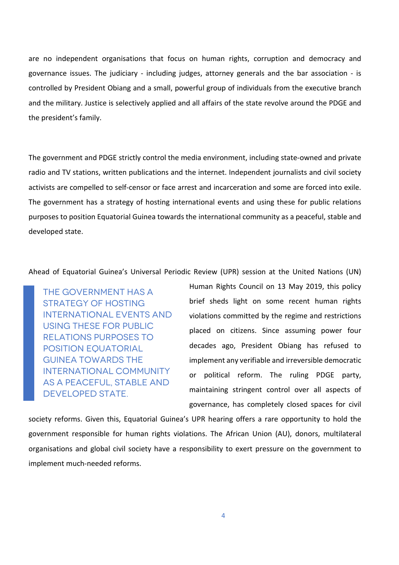are no independent organisations that focus on human rights, corruption and democracy and governance issues. The judiciary - including judges, attorney generals and the bar association - is controlled by President Obiang and a small, powerful group of individuals from the executive branch and the military. Justice is selectively applied and all affairs of the state revolve around the PDGE and the president's family.

The government and PDGE strictly control the media environment, including state-owned and private radio and TV stations, written publications and the internet. Independent journalists and civil society activists are compelled to self-censor or face arrest and incarceration and some are forced into exile. The government has a strategy of hosting international events and using these for public relations purposes to position Equatorial Guinea towards the international community as a peaceful, stable and developed state.

Ahead of Equatorial Guinea's Universal Periodic Review (UPR) session at the United Nations (UN)

THE GOVERNMENT HAS A STRATEGY OF HOSTING INTERNATIONAL EVENTS AND USING THESE FOR PUBLIC RELATIONS PURPOSES TO POSITION EQUATORIAL GUINEA TOWARDS THE INTERNATIONAL COMMUNITY AS A PEACEFUL, STABLE AND DEVELOPED STATE.

Human Rights Council on 13 May 2019, this policy brief sheds light on some recent human rights violations committed by the regime and restrictions placed on citizens. Since assuming power four decades ago, President Obiang has refused to implement any verifiable and irreversible democratic or political reform. The ruling PDGE party, maintaining stringent control over all aspects of governance, has completely closed spaces for civil

society reforms. Given this, Equatorial Guinea's UPR hearing offers a rare opportunity to hold the government responsible for human rights violations. The African Union (AU), donors, multilateral organisations and global civil society have a responsibility to exert pressure on the government to implement much-needed reforms.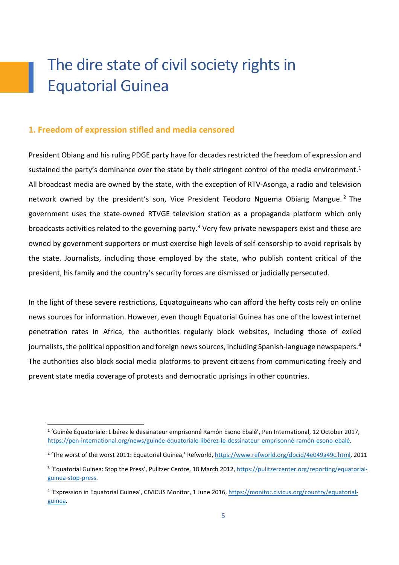## The dire state of civil society rights in Equatorial Guinea

#### **1. Freedom of expression stifled and media censored**

President Obiang and his ruling PDGE party have for decades restricted the freedom of expression and sustained the party's dominance over the state by their stringent control of the media environment.<sup>1</sup> All broadcast media are owned by the state, with the exception of RTV-Asonga, a radio and television network owned by the president's son, Vice President Teodoro Nguema Obiang Mangue.<sup>[2](#page-4-1)</sup> The government uses the state-owned RTVGE television station as a propaganda platform which only broadcasts activities related to the governing party.<sup>[3](#page-4-2)</sup> Very few private newspapers exist and these are owned by government supporters or must exercise high levels of self-censorship to avoid reprisals by the state. Journalists, including those employed by the state, who publish content critical of the president, his family and the country's security forces are dismissed or judicially persecuted.

In the light of these severe restrictions, Equatoguineans who can afford the hefty costs rely on online news sources for information. However, even though Equatorial Guinea has one of the lowest internet penetration rates in Africa, the authorities regularly block websites, including those of exiled journalists, the political opposition and foreign news sources, including Spanish-language newspapers.[4](#page-4-3) The authorities also block social media platforms to prevent citizens from communicating freely and prevent state media coverage of protests and democratic uprisings in other countries.

<span id="page-4-0"></span><sup>&</sup>lt;sup>1</sup> 'Guinée Équatoriale: Libérez le dessinateur emprisonné Ramón Esono Ebalé', Pen International, 12 October 2017, [https://pen-international.org/news/guinée-équatoriale-libérez-le-dessinateur-emprisonné-ramón-esono-ebalé.](https://pen-international.org/news/guin%C3%A9e-%C3%A9quatoriale-lib%C3%A9rez-le-dessinateur-emprisonn%C3%A9-ram%C3%B3n-esono-ebal%C3%A9)

<span id="page-4-1"></span><sup>&</sup>lt;sup>2</sup> 'The worst of the worst 2011: Equatorial Guinea,' Refworld[, https://www.refworld.org/docid/4e049a49c.html,](https://www.refworld.org/docid/4e049a49c.html) 2011

<span id="page-4-2"></span><sup>&</sup>lt;sup>3</sup> 'Equatorial Guinea: Stop the Press', Pulitzer Centre, 18 March 2012, [https://pulitzercenter.org/reporting/equatorial](https://pulitzercenter.org/reporting/equatorial-guinea-stop-press)[guinea-stop-press.](https://pulitzercenter.org/reporting/equatorial-guinea-stop-press)

<span id="page-4-3"></span><sup>4</sup> 'Expression in Equatorial Guinea', CIVICUS Monitor, 1 June 2016, [https://monitor.civicus.org/country/equatorial](https://monitor.civicus.org/country/equatorial-guinea/)[guinea.](https://monitor.civicus.org/country/equatorial-guinea/)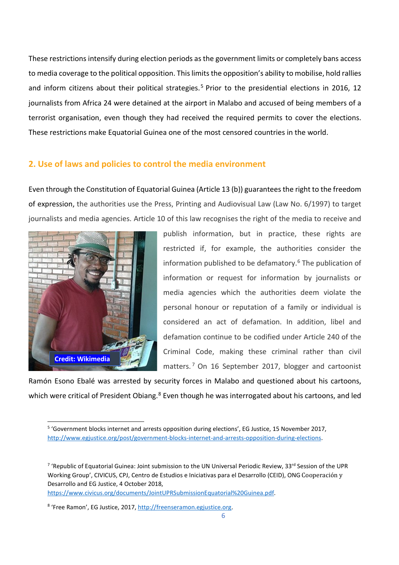These restrictions intensify during election periods as the government limits or completely bans access to media coverage to the political opposition. This limits the opposition's ability to mobilise, hold rallies and inform citizens about their political strategies.<sup>[5](#page-5-0)</sup> Prior to the presidential elections in 2016, 12 journalists from Africa 24 were detained at the airport in Malabo and accused of being members of a terrorist organisation, even though they had received the required permits to cover the elections. These restrictions make Equatorial Guinea one of the most censored countries in the world.

#### **2. Use of laws and policies to control the media environment**

Even through the Constitution of Equatorial Guinea (Article 13 (b)) guarantees the right to the freedom of expression, the authorities use the Press, Printing and Audiovisual Law (Law No. 6/1997) to target journalists and media agencies. Article 10 of this law recognises the right of the media to receive and



publish information, but in practice, these rights are restricted if, for example, the authorities consider the information published to be defamatory.[6](#page-5-1) The publication of information or request for information by journalists or media agencies which the authorities deem violate the personal honour or reputation of a family or individual is considered an act of defamation. In addition, libel and defamation continue to be codified under Article 240 of the Criminal Code, making these criminal rather than civil matters. [7](#page-5-2) On 16 September 2017, blogger and cartoonist

Ramón Esono Ebalé was arrested by security forces in Malabo and questioned about his cartoons, which were critical of President Obiang.<sup>[8](#page-5-3)</sup> Even though he was interrogated about his cartoons, and led

[https://www.civicus.org/documents/JointUPRSubmissionEquatorial%20Guinea.pdf.](https://www.civicus.org/documents/JointUPRSubmissionEquatorial%20Guinea.pdf)

<span id="page-5-0"></span><sup>&</sup>lt;sup>5</sup> 'Government blocks internet and arrests opposition during elections', EG Justice, 15 November 2017, [http://www.egjustice.org/post/government-blocks-internet-and-arrests-opposition-during-elections.](http://www.egjustice.org/post/government-blocks-internet-and-arrests-opposition-during-elections)

<span id="page-5-2"></span><span id="page-5-1"></span><sup>&</sup>lt;sup>7</sup> 'Republic of Equatorial Guinea: Joint submission to the UN Universal Periodic Review, 33<sup>rd</sup> Session of the UPR Working Group', CIVICUS, CPJ, Centro de Estudios e Iniciativas para el Desarrollo (CEID), ONG Cooperación y Desarrollo and EG Justice, 4 October 2018,

<span id="page-5-3"></span><sup>8</sup> 'Free Ramon', EG Justice, 2017[, http://freenseramon.egjustice.org.](http://freenseramon.egjustice.org/)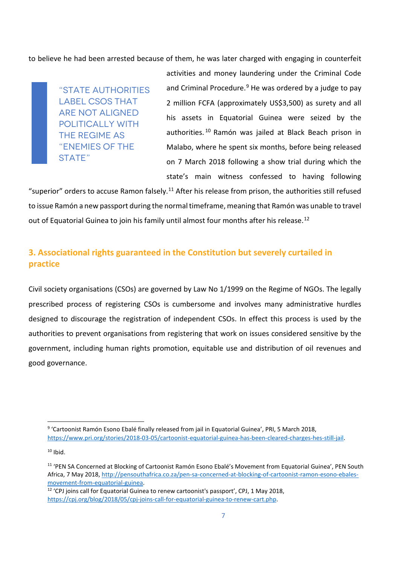to believe he had been arrested because of them, he was later charged with engaging in counterfeit

"STATE AUTHORITIES LABEL CSOS THAT ARE NOT ALIGNED POLITICALLY WITH THE REGIME AS "ENEMIES OF THE STATE"

activities and money laundering under the Criminal Code and Criminal Procedure. $9$  He was ordered by a judge to pay 2 million FCFA (approximately US\$3,500) as surety and all his assets in Equatorial Guinea were seized by the authorities. [10](#page-6-1) Ramón was jailed at Black Beach prison in Malabo, where he spent six months, before being released on 7 March 2018 following a show trial during which the state's main witness confessed to having following

"superior" orders to accuse Ramon falsely.<sup>[11](#page-6-2)</sup> After his release from prison, the authorities still refused to issue Ramón a new passport during the normal timeframe, meaning that Ramón was unable to travel out of Equatorial Guinea to join his family until almost four months after his release.<sup>12</sup>

#### **3. Associational rights guaranteed in the Constitution but severely curtailed in practice**

Civil society organisations (CSOs) are governed by Law No 1/1999 on the Regime of NGOs. The legally prescribed process of registering CSOs is cumbersome and involves many administrative hurdles designed to discourage the registration of independent CSOs. In effect this process is used by the authorities to prevent organisations from registering that work on issues considered sensitive by the government, including human rights promotion, equitable use and distribution of oil revenues and good governance.

<span id="page-6-1"></span> $10$  Ibid.

<span id="page-6-0"></span><sup>9</sup> 'Cartoonist Ramón Esono Ebalé finally released from jail in Equatorial Guinea', PRI, 5 March 2018, [https://www.pri.org/stories/2018-03-05/cartoonist-equatorial-guinea-has-been-cleared-charges-hes-still-jail.](https://www.pri.org/stories/2018-03-05/cartoonist-equatorial-guinea-has-been-cleared-charges-hes-still-jail) 

<span id="page-6-2"></span><sup>11</sup> 'PEN SA Concerned at Blocking of Cartoonist Ramón Esono Ebalé's Movement from Equatorial Guinea', PEN South Africa, 7 May 2018, [http://pensouthafrica.co.za/pen-sa-concerned-at-blocking-of-cartoonist-ramon-esono-ebales](http://pensouthafrica.co.za/pen-sa-concerned-at-blocking-of-cartoonist-ramon-esono-ebales-movement-from-equatorial-guinea/)[movement-from-equatorial-guinea.](http://pensouthafrica.co.za/pen-sa-concerned-at-blocking-of-cartoonist-ramon-esono-ebales-movement-from-equatorial-guinea/)<br><sup>12</sup> 'CPJ joins call for Equatorial Guinea to renew cartoonist's passport', CPJ, 1 May 2018,

<span id="page-6-3"></span>[https://cpj.org/blog/2018/05/cpj-joins-call-for-equatorial-guinea-to-renew-cart.php.](https://cpj.org/blog/2018/05/cpj-joins-call-for-equatorial-guinea-to-renew-cart.php)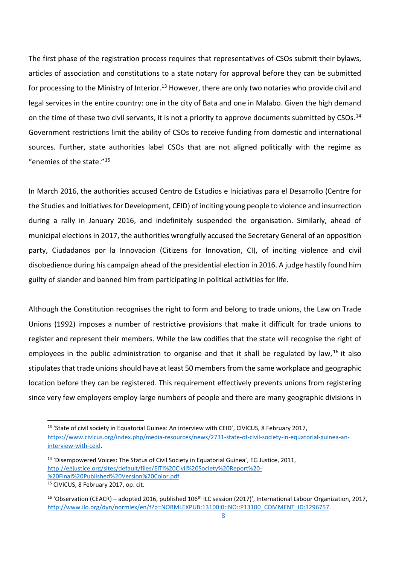The first phase of the registration process requires that representatives of CSOs submit their bylaws, articles of association and constitutions to a state notary for approval before they can be submitted for processing to the Ministry of Interior.<sup>[13](#page-7-0)</sup> However, there are only two notaries who provide civil and legal services in the entire country: one in the city of Bata and one in Malabo. Given the high demand on the time of these two civil servants, it is not a priority to approve documents submitted by CSOs.<sup>14</sup> Government restrictions limit the ability of CSOs to receive funding from domestic and international sources. Further, state authorities label CSOs that are not aligned politically with the regime as "enemies of the state."[15](#page-7-2)

In March 2016, the authorities accused Centro de Estudios e Iniciativas para el Desarrollo (Centre for the Studies and Initiatives for Development, CEID) of inciting young people to violence and insurrection during a rally in January 2016, and indefinitely suspended the organisation. Similarly, ahead of municipal elections in 2017, the authorities wrongfully accused the Secretary General of an opposition party, Ciudadanos por la Innovacion (Citizens for Innovation, CI), of inciting violence and civil disobedience during his campaign ahead of the presidential election in 2016. A judge hastily found him guilty of slander and banned him from participating in political activities for life.

Although the Constitution recognises the right to form and belong to trade unions, the Law on Trade Unions (1992) imposes a number of restrictive provisions that make it difficult for trade unions to register and represent their members. While the law codifies that the state will recognise the right of employees in the public administration to organise and that it shall be regulated by law,  $16$  it also stipulates that trade unions should have at least 50 members from the same workplace and geographic location before they can be registered. This requirement effectively prevents unions from registering since very few employers employ large numbers of people and there are many geographic divisions in

<span id="page-7-0"></span><sup>&</sup>lt;sup>13</sup> 'State of civil society in Equatorial Guinea: An interview with CEID', CIVICUS, 8 February 2017, [https://www.civicus.org/index.php/media-resources/news/2731-state-of-civil-society-in-equatorial-guinea-an](https://www.civicus.org/index.php/media-resources/news/2731-state-of-civil-society-in-equatorial-guinea-an-interview-with-ceid)[interview-with-ceid.](https://www.civicus.org/index.php/media-resources/news/2731-state-of-civil-society-in-equatorial-guinea-an-interview-with-ceid)

<span id="page-7-1"></span><sup>&</sup>lt;sup>14</sup> 'Disempowered Voices: The Status of Civil Society in Equatorial Guinea', EG Justice, 2011, [http://egjustice.org/sites/default/files/EITI%20Civil%20Society%20Report%20-](http://egjustice.org/sites/default/files/EITI%20Civil%20Society%20Report%20-%20Final%20Published%20Version%20Color.pdf) [%20Final%20Published%20Version%20Color.pdf.](http://egjustice.org/sites/default/files/EITI%20Civil%20Society%20Report%20-%20Final%20Published%20Version%20Color.pdf)

<span id="page-7-2"></span><sup>15</sup> CIVICUS, 8 February 2017, op. cit.

<span id="page-7-3"></span><sup>&</sup>lt;sup>16</sup> 'Observation (CEACR) – adopted 2016, published 106<sup>th</sup> ILC session (2017)', International Labour Organization, 2017, [http://www.ilo.org/dyn/normlex/en/f?p=NORMLEXPUB:13100:0::NO::P13100\\_COMMENT\\_ID:3296757.](http://www.ilo.org/dyn/normlex/en/f?p=NORMLEXPUB:13100:0::NO::P13100_COMMENT_ID:3296757)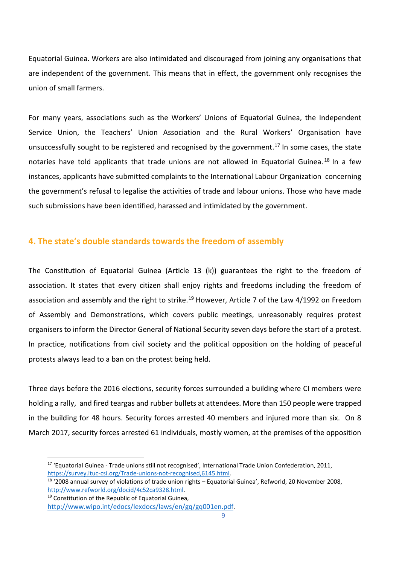Equatorial Guinea. Workers are also intimidated and discouraged from joining any organisations that are independent of the government. This means that in effect, the government only recognises the union of small farmers.

For many years, associations such as the Workers' Unions of Equatorial Guinea, the Independent Service Union, the Teachers' Union Association and the Rural Workers' Organisation have unsuccessfully sought to be registered and recognised by the government.<sup>[17](#page-8-0)</sup> In some cases, the state notaries have told applicants that trade unions are not allowed in Equatorial Guinea.<sup>[18](#page-8-1)</sup> In a few instances, applicants have submitted complaints to the International Labour Organization concerning the government's refusal to legalise the activities of trade and labour unions. Those who have made such submissions have been identified, harassed and intimidated by the government.

#### **4. The state's double standards towards the freedom of assembly**

The Constitution of Equatorial Guinea (Article 13 (k)) guarantees the right to the freedom of association. It states that every citizen shall enjoy rights and freedoms including the freedom of association and assembly and the right to strike.<sup>[19](#page-8-2)</sup> However, Article 7 of the Law 4/1992 on Freedom of Assembly and Demonstrations, which covers public meetings, unreasonably requires protest organisers to inform the Director General of National Security seven days before the start of a protest. In practice, notifications from civil society and the political opposition on the holding of peaceful protests always lead to a ban on the protest being held.

Three days before the 2016 elections, security forces surrounded a building where CI members were holding a rally, and fired teargas and rubber bullets at attendees. More than 150 people were trapped in the building for 48 hours. Security forces arrested 40 members and injured more than six. On 8 March 2017, security forces arrested 61 individuals, mostly women, at the premises of the opposition

<span id="page-8-2"></span>

<span id="page-8-0"></span><sup>&</sup>lt;sup>17</sup> 'Equatorial Guinea - Trade unions still not recognised', International Trade Union Confederation, 2011, [https://survey.ituc-csi.org/Trade-unions-not-recognised,6145.html.](https://survey.ituc-csi.org/Trade-unions-not-recognised,6145.html)

<span id="page-8-1"></span><sup>18</sup> '2008 annual survey of violations of trade union rights – Equatorial Guinea', Refworld, 20 November 2008, [http://www.refworld.org/docid/4c52ca9328.html.](http://www.refworld.org/docid/4c52ca9328.html)<br><sup>19</sup> Constitution of the Republic of Equatorial Guinea,

[http://www.wipo.int/edocs/lexdocs/laws/en/gq/gq001en.pdf.](http://www.wipo.int/edocs/lexdocs/laws/en/gq/gq001en.pdf)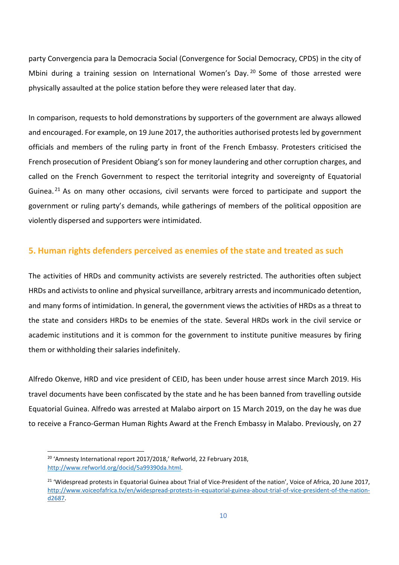party Convergencia para la Democracia Social (Convergence for Social Democracy, CPDS) in the city of Mbini during a training session on International Women's Day.<sup>[20](#page-9-0)</sup> Some of those arrested were physically assaulted at the police station before they were released later that day.

In comparison, requests to hold demonstrations by supporters of the government are always allowed and encouraged. For example, on 19 June 2017, the authorities authorised protests led by government officials and members of the ruling party in front of the French Embassy. Protesters criticised the French prosecution of President Obiang's son for money laundering and other corruption charges, and called on the French Government to respect the territorial integrity and sovereignty of Equatorial Guinea. <sup>[21](#page-9-1)</sup> As on many other occasions, civil servants were forced to participate and support the government or ruling party's demands, while gatherings of members of the political opposition are violently dispersed and supporters were intimidated.

#### **5. Human rights defenders perceived as enemies of the state and treated as such**

The activities of HRDs and community activists are severely restricted. The authorities often subject HRDs and activists to online and physical surveillance, arbitrary arrests and incommunicado detention, and many forms of intimidation. In general, the government views the activities of HRDs as a threat to the state and considers HRDs to be enemies of the state. Several HRDs work in the civil service or academic institutions and it is common for the government to institute punitive measures by firing them or withholding their salaries indefinitely.

Alfredo Okenve, HRD and vice president of CEID, has been under house arrest since March 2019. His travel documents have been confiscated by the state and he has been banned from travelling outside Equatorial Guinea. Alfredo was arrested at Malabo airport on 15 March 2019, on the day he was due to receive a Franco-German Human Rights Award at the French Embassy in Malabo. Previously, on 27

<span id="page-9-0"></span><sup>&</sup>lt;sup>20</sup> 'Amnesty International report 2017/2018,' Refworld, 22 February 2018, [http://www.refworld.org/docid/5a99390da.html.](http://www.refworld.org/docid/5a99390da.html)

<span id="page-9-1"></span><sup>&</sup>lt;sup>21</sup> 'Widespread protests in Equatorial Guinea about Trial of Vice-President of the nation', Voice of Africa, 20 June 2017, [http://www.voiceofafrica.tv/en/widespread-protests-in-equatorial-guinea-about-trial-of-vice-president-of-the-nation](http://www.voiceofafrica.tv/en/widespread-protests-in-equatorial-guinea-about-trial-of-vice-president-of-the-nation-d2687)[d2687.](http://www.voiceofafrica.tv/en/widespread-protests-in-equatorial-guinea-about-trial-of-vice-president-of-the-nation-d2687)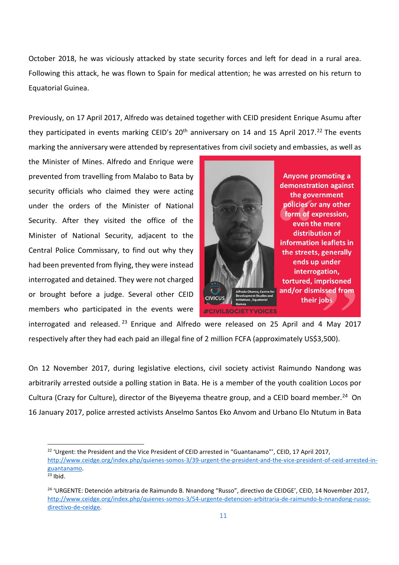October 2018, he was viciously attacked by state security forces and left for dead in a rural area. Following this attack, he was flown to Spain for medical attention; he was arrested on his return to Equatorial Guinea.

Previously, on 17 April 2017, Alfredo was detained together with CEID president Enrique Asumu after they participated in events marking CEID's  $20<sup>th</sup>$  anniversary on 14 and 15 April 2017.<sup>[22](#page-10-0)</sup> The events marking the anniversary were attended by representatives from civil society and embassies, as well as

the Minister of Mines. Alfredo and Enrique were prevented from travelling from Malabo to Bata by security officials who claimed they were acting under the orders of the Minister of National Security. After they visited the office of the Minister of National Security, adjacent to the Central Police Commissary, to find out why they had been prevented from flying, they were instead interrogated and detained. They were not charged or brought before a judge. Several other CEID members who participated in the events were



**Anyone promoting a** demonstration against the government policies or any other form of expression, even the mere distribution of information leaflets in the streets, generally ends up under interrogation, tortured, imprisoned and/or dismissed from their jobs

interrogated and released.<sup>[23](#page-10-1)</sup> Enrique and Alfredo were released on 25 April and 4 May 2017 respectively after they had each paid an illegal fine of 2 million FCFA (approximately US\$3,500).

On 12 November 2017, during legislative elections, civil society activist Raimundo Nandong was arbitrarily arrested outside a polling station in Bata. He is a member of the youth coalition Locos por Cultura (Crazy for Culture), director of the Biyeyema theatre group, and a CEID board member.<sup>24</sup> On 16 January 2017, police arrested activists Anselmo Santos Eko Anvom and Urbano Elo Ntutum in Bata

<span id="page-10-0"></span><sup>&</sup>lt;sup>22</sup> 'Urgent: the President and the Vice President of CEID arrested in "Guantanamo"', CEID, 17 April 2017, [http://www.ceidge.org/index.php/quienes-somos-3/39-urgent-the-president-and-the-vice-president-of-ceid-arrested-in](http://www.ceidge.org/index.php/quienes-somos-3/39-urgent-the-president-and-the-vice-president-of-ceid-arrested-in-guantanamo)guantanamo.<br><sup>23</sup> Ibid.

<span id="page-10-1"></span>

<span id="page-10-2"></span><sup>24</sup> 'URGENTE: Detención arbitraria de Raimundo B. Nnandong "Russo", directivo de CEIDGE', CEID, 14 November 2017, [http://www.ceidge.org/index.php/quienes-somos-3/54-urgente-detencion-arbitraria-de-raimundo-b-nnandong-russo](http://www.ceidge.org/index.php/quienes-somos-3/54-urgente-detencion-arbitraria-de-raimundo-b-nnandong-russo-directivo-de-ceidge)[directivo-de-ceidge.](http://www.ceidge.org/index.php/quienes-somos-3/54-urgente-detencion-arbitraria-de-raimundo-b-nnandong-russo-directivo-de-ceidge)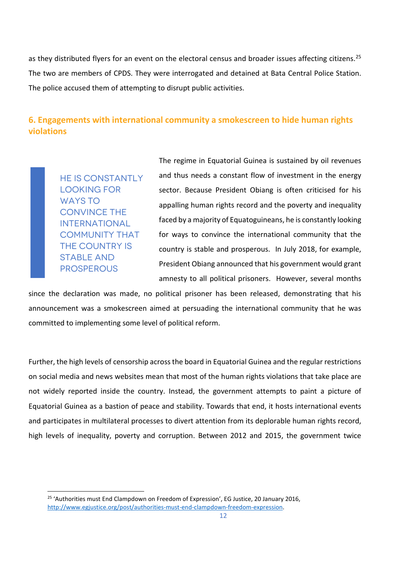as they distributed flyers for an event on the electoral census and broader issues affecting citizens.<sup>[25](#page-11-0)</sup> The two are members of CPDS. They were interrogated and detained at Bata Central Police Station. The police accused them of attempting to disrupt public activities.

#### **6. Engagements with international community a smokescreen to hide human rights violations**

HE IS CONSTANTLY LOOKING FOR WAYS TO CONVINCE THE INTERNATIONAL COMMUNITY THAT THE COUNTRY IS STABLE AND PROSPEROUS

The regime in Equatorial Guinea is sustained by oil revenues and thus needs a constant flow of investment in the energy sector. Because President Obiang is often criticised for his appalling human rights record and the poverty and inequality faced by a majority of Equatoguineans, he is constantly looking for ways to convince the international community that the country is stable and prosperous. In July 2018, for example, President Obiang announced that his government would grant amnesty to all political prisoners. However, several months

since the declaration was made, no political prisoner has been released, demonstrating that his announcement was a smokescreen aimed at persuading the international community that he was committed to implementing some level of political reform.

Further, the high levels of censorship across the board in Equatorial Guinea and the regular restrictions on social media and news websites mean that most of the human rights violations that take place are not widely reported inside the country. Instead, the government attempts to paint a picture of Equatorial Guinea as a bastion of peace and stability. Towards that end, it hosts international events and participates in multilateral processes to divert attention from its deplorable human rights record, high levels of inequality, poverty and corruption. Between 2012 and 2015, the government twice

<span id="page-11-0"></span><sup>&</sup>lt;sup>25</sup> 'Authorities must End Clampdown on Freedom of Expression', EG Justice, 20 January 2016, [http://www.egjustice.org/post/authorities-must-end-clampdown-freedom-expression.](http://www.egjustice.org/post/authorities-must-end-clampdown-freedom-expression)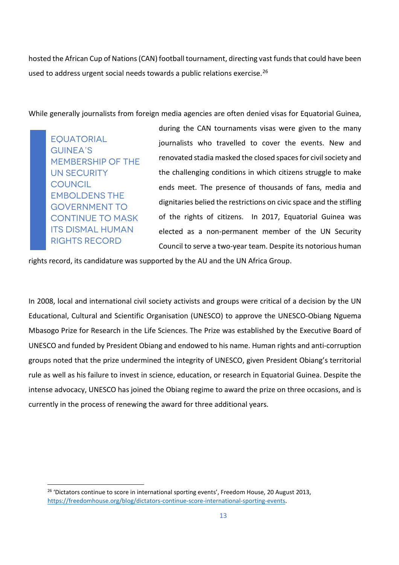hosted the African Cup of Nations (CAN) football tournament, directing vast funds that could have been used to address urgent social needs towards a public relations exercise.<sup>[26](#page-12-0)</sup>

While generally journalists from foreign media agencies are often denied visas for Equatorial Guinea,

**EQUATORIAL** GUINEA'S MEMBERSHIP OF THE UN SECURITY **COUNCIL** EMBOLDENS THE GOVERNMENT TO CONTINUE TO MASK ITS DISMAL HUMAN RIGHTS RECORD

during the CAN tournaments visas were given to the many journalists who travelled to cover the events. New and renovated stadia masked the closed spaces for civil society and the challenging conditions in which citizens struggle to make ends meet. The presence of thousands of fans, media and dignitaries belied the restrictions on civic space and the stifling of the rights of citizens. In 2017, Equatorial Guinea was elected as a non-permanent member of the UN Security Council to serve a two-year team. Despite its notorious human

rights record, its candidature was supported by the AU and the UN Africa Group.

In 2008, local and international civil society activists and groups were critical of a decision by the UN Educational, Cultural and Scientific Organisation (UNESCO) to approve the UNESCO-Obiang Nguema Mbasogo Prize for Research in the Life Sciences. The Prize was established by the Executive Board of UNESCO and funded by President Obiang and endowed to his name. Human rights and anti-corruption groups noted that the prize undermined the integrity of UNESCO, given President Obiang's territorial rule as well as his failure to invest in science, education, or research in Equatorial Guinea. Despite the intense advocacy, UNESCO has joined the Obiang regime to award the prize on three occasions, and is currently in the process of renewing the award for three additional years.

<span id="page-12-0"></span><sup>&</sup>lt;sup>26</sup> 'Dictators continue to score in international sporting events', Freedom House, 20 August 2013, [https://freedomhouse.org/blog/dictators-continue-score-international-sporting-events.](https://freedomhouse.org/blog/dictators-continue-score-international-sporting-events)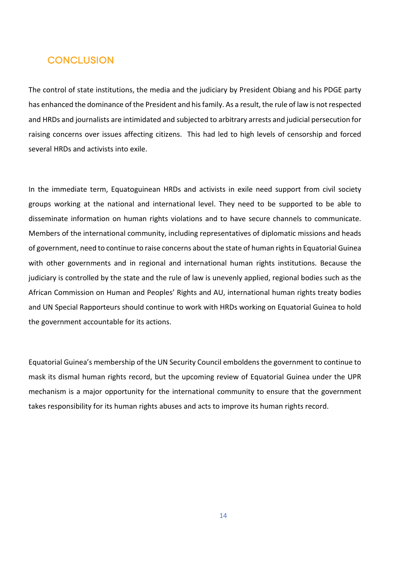#### **CONCLUSION**

The control of state institutions, the media and the judiciary by President Obiang and his PDGE party has enhanced the dominance of the President and his family. As a result, the rule of law is not respected and HRDs and journalists are intimidated and subjected to arbitrary arrests and judicial persecution for raising concerns over issues affecting citizens. This had led to high levels of censorship and forced several HRDs and activists into exile.

In the immediate term, Equatoguinean HRDs and activists in exile need support from civil society groups working at the national and international level. They need to be supported to be able to disseminate information on human rights violations and to have secure channels to communicate. Members of the international community, including representatives of diplomatic missions and heads of government, need to continue to raise concerns about the state of human rights in Equatorial Guinea with other governments and in regional and international human rights institutions. Because the judiciary is controlled by the state and the rule of law is unevenly applied, regional bodies such as the African Commission on Human and Peoples' Rights and AU, international human rights treaty bodies and UN Special Rapporteurs should continue to work with HRDs working on Equatorial Guinea to hold the government accountable for its actions.

Equatorial Guinea's membership of the UN Security Council emboldens the government to continue to mask its dismal human rights record, but the upcoming review of Equatorial Guinea under the UPR mechanism is a major opportunity for the international community to ensure that the government takes responsibility for its human rights abuses and acts to improve its human rights record.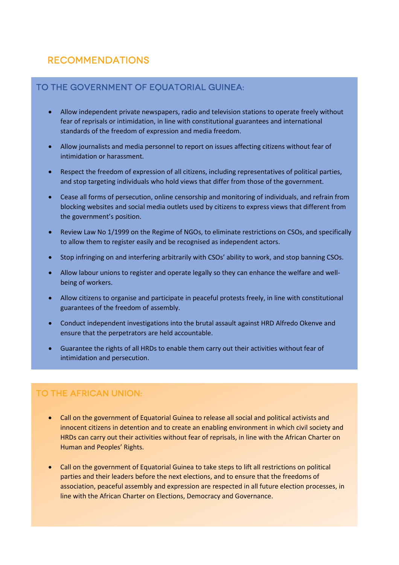#### Recommendations

#### TO THE GOVERNMENT OF EOUATORIAL GUINEA:

- Allow independent private newspapers, radio and television stations to operate freely without fear of reprisals or intimidation, in line with constitutional guarantees and international standards of the freedom of expression and media freedom.
- Allow journalists and media personnel to report on issues affecting citizens without fear of intimidation or harassment.
- Respect the freedom of expression of all citizens, including representatives of political parties, and stop targeting individuals who hold views that differ from those of the government.
- Cease all forms of persecution, online censorship and monitoring of individuals, and refrain from blocking websites and social media outlets used by citizens to express views that different from the government's position.
- Review Law No 1/1999 on the Regime of NGOs, to eliminate restrictions on CSOs, and specifically to allow them to register easily and be recognised as independent actors.
- Stop infringing on and interfering arbitrarily with CSOs' ability to work, and stop banning CSOs.
- Allow labour unions to register and operate legally so they can enhance the welfare and wellbeing of workers.
- Allow citizens to organise and participate in peaceful protests freely, in line with constitutional guarantees of the freedom of assembly.
- Conduct independent investigations into the brutal assault against HRD Alfredo Okenve and ensure that the perpetrators are held accountable.
- Guarantee the rights of all HRDs to enable them carry out their activities without fear of intimidation and persecution.

#### To the African Union:

- Call on the government of Equatorial Guinea to release all social and political activists and innocent citizens in detention and to create an enabling environment in which civil society and HRDs can carry out their activities without fear of reprisals, in line with the African Charter on Human and Peoples' Rights.
- Call on the government of Equatorial Guinea to take steps to lift all restrictions on political parties and their leaders before the next elections, and to ensure that the freedoms of association, peaceful assembly and expression are respected in all future election processes, in line with the African Charter on Elections, Democracy and Governance.